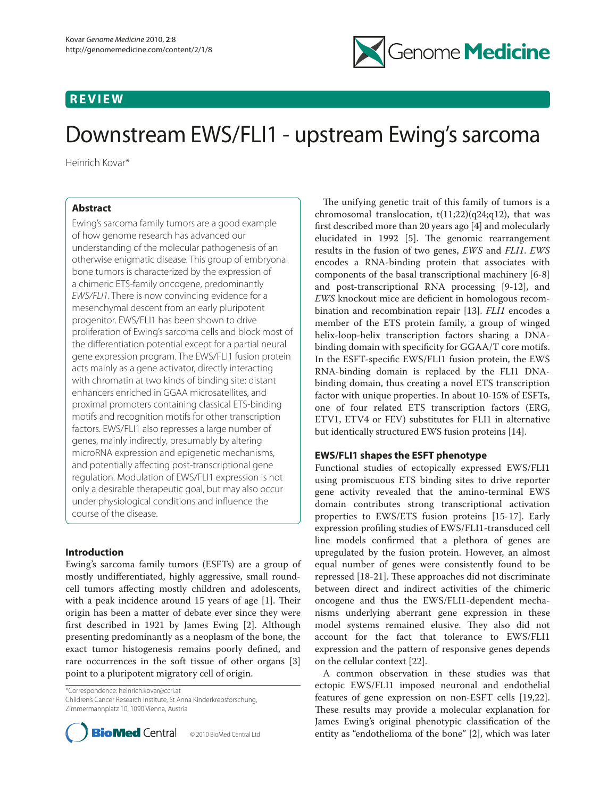## **REVIEW**



# Downstream EWS/FLI1 - upstream Ewing's sarcoma

Heinrich Kovar\*

## **Abstract**

Ewing's sarcoma family tumors are a good example of how genome research has advanced our understanding of the molecular pathogenesis of an otherwise enigmatic disease. This group of embryonal bone tumors is characterized by the expression of a chimeric ETS-family oncogene, predominantly *EWS/FLI1*. There is now convincing evidence for a mesenchymal descent from an early pluripotent progenitor. EWS/FLI1 has been shown to drive proliferation of Ewing's sarcoma cells and block most of the differentiation potential except for a partial neural gene expression program. The EWS/FLI1 fusion protein acts mainly as a gene activator, directly interacting with chromatin at two kinds of binding site: distant enhancers enriched in GGAA microsatellites, and proximal promoters containing classical ETS-binding motifs and recognition motifs for other transcription factors. EWS/FLI1 also represses a large number of genes, mainly indirectly, presumably by altering microRNA expression and epigenetic mechanisms, and potentially affecting post-transcriptional gene regulation. Modulation of EWS/FLI1 expression is not only a desirable therapeutic goal, but may also occur under physiological conditions and influence the course of the disease.

## **Introduction**

Ewing's sarcoma family tumors (ESFTs) are a group of mostly undifferentiated, highly aggressive, small roundcell tumors affecting mostly children and adolescents, with a peak incidence around 15 years of age  $[1]$ . Their origin has been a matter of debate ever since they were first described in 1921 by James Ewing [2]. Although presenting predominantly as a neoplasm of the bone, the exact tumor histogenesis remains poorly defined, and rare occurrences in the soft tissue of other organs [3] point to a pluripotent migratory cell of origin.

\*Correspondence: heinrich.kovar@ccri.at Children's Cancer Research Institute, St Anna Kinderkrebsforschung, Zimmermannplatz 10, 1090 Vienna, Austria



The unifying genetic trait of this family of tumors is a chromosomal translocation,  $t(11;22)(q24;q12)$ , that was first described more than 20 years ago [4] and molecularly elucidated in 1992 [5]. The genomic rearrangement results in the fusion of two genes, *EWS* and *FLI1*. *EWS*  encodes a RNA-binding protein that associates with components of the basal transcriptional machinery [6-8] and post-transcriptional RNA processing [9-12], and *EWS* knockout mice are deficient in homologous recombination and recombination repair [13]. *FLI1* encodes a member of the ETS protein family, a group of winged helix-loop-helix transcription factors sharing a DNAbinding domain with specificity for GGAA/T core motifs. In the ESFT-specific EWS/FLI1 fusion protein, the EWS RNA-binding domain is replaced by the FLI1 DNAbinding domain, thus creating a novel ETS transcription factor with unique properties. In about 10-15% of ESFTs, one of four related ETS transcription factors (ERG, ETV1, ETV4 or FEV) substitutes for FLI1 in alternative but identically structured EWS fusion proteins [14].

## **EWS/FLI1 shapes the ESFT phenotype**

Functional studies of ectopically expressed EWS/FLI1 using promiscuous ETS binding sites to drive reporter gene activity revealed that the amino-terminal EWS domain contributes strong transcriptional activation properties to EWS/ETS fusion proteins [15-17]. Early expression profiling studies of EWS/FLI1-transduced cell line models confirmed that a plethora of genes are upregulated by the fusion protein. However, an almost equal number of genes were consistently found to be repressed [18-21]. These approaches did not discriminate between direct and indirect activities of the chimeric oncogene and thus the EWS/FLI1-dependent mechanisms underlying aberrant gene expression in these model systems remained elusive. They also did not account for the fact that tolerance to EWS/FLI1 expression and the pattern of responsive genes depends on the cellular context [22].

A common observation in these studies was that ectopic EWS/FLI1 imposed neuronal and endothelial features of gene expression on non-ESFT cells [19,22]. These results may provide a molecular explanation for James Ewing's original phenotypic classification of the entity as "endothelioma of the bone" [2], which was later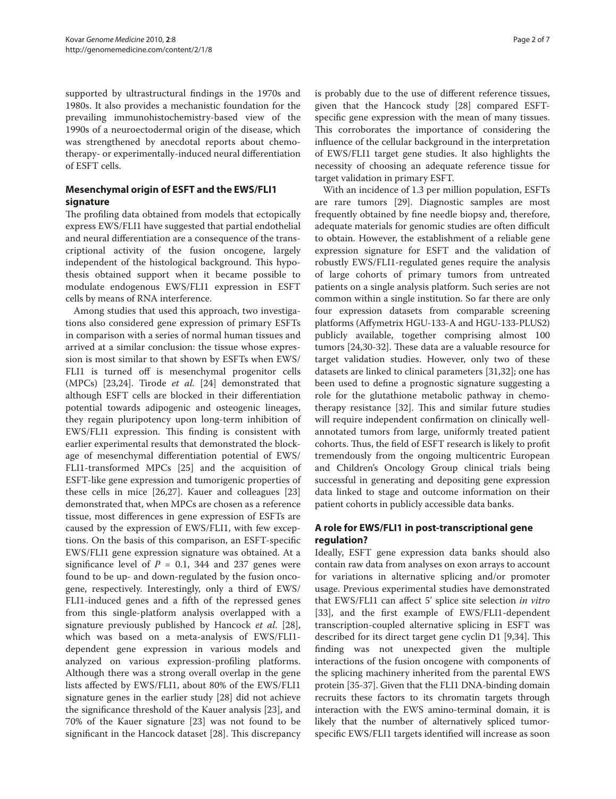supported by ultrastructural findings in the 1970s and 1980s. It also provides a mechanistic foundation for the prevailing immunohistochemistry-based view of the 1990s of a neuroectodermal origin of the disease, which was strengthened by anecdotal reports about chemotherapy- or experimentally-induced neural differentiation of ESFT cells.

## **Mesenchymal origin of ESFT and the EWS/FLI1 signature**

The profiling data obtained from models that ectopically express EWS/FLI1 have suggested that partial endothelial and neural differentiation are a consequence of the transcriptional activity of the fusion oncogene, largely independent of the histological background. This hypothesis obtained support when it became possible to modulate endogenous EWS/FLI1 expression in ESFT cells by means of RNA interference.

Among studies that used this approach, two investigations also considered gene expression of primary ESFTs in comparison with a series of normal human tissues and arrived at a similar conclusion: the tissue whose expression is most similar to that shown by ESFTs when EWS/ FLI1 is turned off is mesenchymal progenitor cells (MPCs) [23,24]. Tirode *et al.* [24] demonstrated that although ESFT cells are blocked in their differentiation potential towards adipogenic and osteogenic lineages, they regain pluripotency upon long-term inhibition of EWS/FLI1 expression. This finding is consistent with earlier experimental results that demonstrated the blockage of mesenchymal differentiation potential of EWS/ FLI1-transformed MPCs [25] and the acquisition of ESFT-like gene expression and tumorigenic properties of these cells in mice [26,27]. Kauer and colleagues [23] demonstrated that, when MPCs are chosen as a reference tissue, most differences in gene expression of ESFTs are caused by the expression of EWS/FLI1, with few exceptions. On the basis of this comparison, an ESFT-specific EWS/FLI1 gene expression signature was obtained. At a significance level of  $P = 0.1$ , 344 and 237 genes were found to be up- and down-regulated by the fusion oncogene, respectively. Interestingly, only a third of EWS/ FLI1-induced genes and a fifth of the repressed genes from this single-platform analysis overlapped with a signature previously published by Hancock *et al*. [28], which was based on a meta-analysis of EWS/FLI1 dependent gene expression in various models and analyzed on various expression-profiling platforms. Although there was a strong overall overlap in the gene lists affected by EWS/FLI1, about 80% of the EWS/FLI1 signature genes in the earlier study [28] did not achieve the significance threshold of the Kauer analysis [23], and 70% of the Kauer signature [23] was not found to be significant in the Hancock dataset [28]. This discrepancy is probably due to the use of different reference tissues, given that the Hancock study [28] compared ESFTspecific gene expression with the mean of many tissues. This corroborates the importance of considering the influence of the cellular background in the interpretation of EWS/FLI1 target gene studies. It also highlights the necessity of choosing an adequate reference tissue for target validation in primary ESFT.

With an incidence of 1.3 per million population, ESFTs are rare tumors [29]. Diagnostic samples are most frequently obtained by fine needle biopsy and, therefore, adequate materials for genomic studies are often difficult to obtain. However, the establishment of a reliable gene expression signature for ESFT and the validation of robustly EWS/FLI1-regulated genes require the analysis of large cohorts of primary tumors from untreated patients on a single analysis platform. Such series are not common within a single institution. So far there are only four expression datasets from comparable screening platforms (Affymetrix HGU-133-A and HGU-133-PLUS2) publicly available, together comprising almost 100 tumors [24,30-32]. These data are a valuable resource for target validation studies. However, only two of these datasets are linked to clinical parameters [31,32]; one has been used to define a prognostic signature suggesting a role for the glutathione metabolic pathway in chemotherapy resistance [32]. This and similar future studies will require independent confirmation on clinically wellannotated tumors from large, uniformly treated patient cohorts. Thus, the field of ESFT research is likely to profit tremendously from the ongoing multicentric European and Children's Oncology Group clinical trials being successful in generating and depositing gene expression data linked to stage and outcome information on their patient cohorts in publicly accessible data banks.

## **A role for EWS/FLI1 in post-transcriptional gene regulation?**

Ideally, ESFT gene expression data banks should also contain raw data from analyses on exon arrays to account for variations in alternative splicing and/or promoter usage. Previous experimental studies have demonstrated that EWS/FLI1 can affect 5' splice site selection *in vitro* [33], and the first example of EWS/FLI1-dependent transcription-coupled alternative splicing in ESFT was described for its direct target gene cyclin D1 [9,34]. This finding was not unexpected given the multiple interactions of the fusion oncogene with components of the splicing machinery inherited from the parental EWS protein [35-37]. Given that the FLI1 DNA-binding domain recruits these factors to its chromatin targets through interaction with the EWS amino-terminal domain, it is likely that the number of alternatively spliced tumorspecific EWS/FLI1 targets identified will increase as soon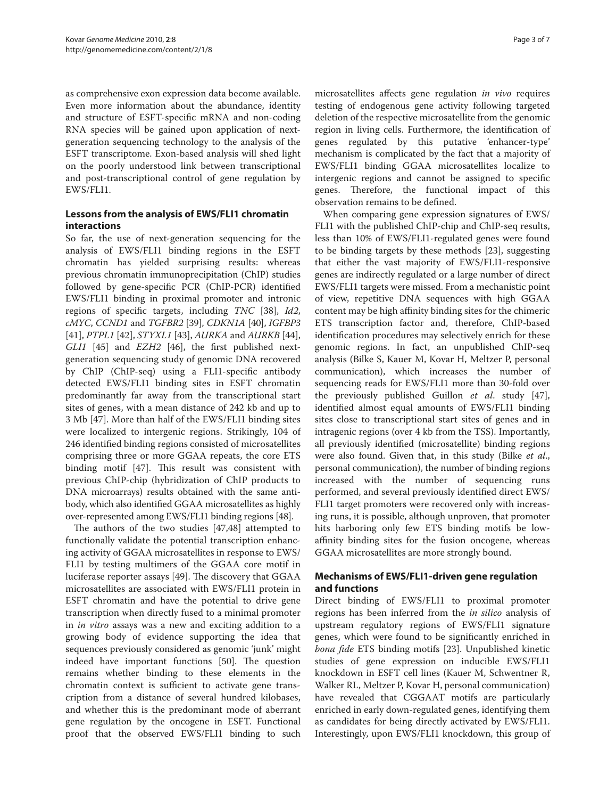as comprehensive exon expression data become available. Even more information about the abundance, identity and structure of ESFT-specific mRNA and non-coding RNA species will be gained upon application of nextgeneration sequencing technology to the analysis of the ESFT transcriptome. Exon-based analysis will shed light on the poorly understood link between transcriptional and post-transcriptional control of gene regulation by EWS/FLI1.

## **Lessons from the analysis of EWS/FLI1 chromatin interactions**

So far, the use of next-generation sequencing for the analysis of EWS/FLI1 binding regions in the ESFT chromatin has yielded surprising results: whereas previous chromatin immunoprecipitation (ChIP) studies followed by gene-specific PCR (ChIP-PCR) identified EWS/FLI1 binding in proximal promoter and intronic regions of specific targets, including *TNC* [38], *Id2*, *cMYC*, *CCND1* and *TGFBR2* [39], *CDKN1A* [40], *IGFBP3* [41], *PTPL1* [42], *STYXL1* [43], *AURKA* and *AURKB* [44], *GLI1* [45] and *EZH2* [46], the first published nextgeneration sequencing study of genomic DNA recovered by ChIP (ChIP-seq) using a FLI1-specific antibody detected EWS/FLI1 binding sites in ESFT chromatin predominantly far away from the transcriptional start sites of genes, with a mean distance of 242 kb and up to 3 Mb [47]. More than half of the EWS/FLI1 binding sites were localized to intergenic regions. Strikingly, 104 of 246 identified binding regions consisted of microsatellites comprising three or more GGAA repeats, the core ETS binding motif [47]. This result was consistent with previous ChIP-chip (hybridization of ChIP products to DNA microarrays) results obtained with the same antibody, which also identified GGAA microsatellites as highly over-represented among EWS/FLI1 binding regions [48].

The authors of the two studies [47,48] attempted to functionally validate the potential transcription enhancing activity of GGAA microsatellites in response to EWS/ FLI1 by testing multimers of the GGAA core motif in luciferase reporter assays [49]. The discovery that GGAA microsatellites are associated with EWS/FLI1 protein in ESFT chromatin and have the potential to drive gene transcription when directly fused to a minimal promoter in *in vitro* assays was a new and exciting addition to a growing body of evidence supporting the idea that sequences previously considered as genomic 'junk' might indeed have important functions [50]. The question remains whether binding to these elements in the chromatin context is sufficient to activate gene transcription from a distance of several hundred kilobases, and whether this is the predominant mode of aberrant gene regulation by the oncogene in ESFT. Functional proof that the observed EWS/FLI1 binding to such microsatellites affects gene regulation *in vivo* requires testing of endogenous gene activity following targeted deletion of the respective microsatellite from the genomic region in living cells. Furthermore, the identification of genes regulated by this putative 'enhancer-type' mechanism is complicated by the fact that a majority of EWS/FLI1 binding GGAA microsatellites localize to intergenic regions and cannot be assigned to specific genes. Therefore, the functional impact of this observation remains to be defined.

When comparing gene expression signatures of EWS/ FLI1 with the published ChIP-chip and ChIP-seq results, less than 10% of EWS/FLI1-regulated genes were found to be binding targets by these methods [23], suggesting that either the vast majority of EWS/FLI1-responsive genes are indirectly regulated or a large number of direct EWS/FLI1 targets were missed. From a mechanistic point of view, repetitive DNA sequences with high GGAA content may be high affinity binding sites for the chimeric ETS transcription factor and, therefore, ChIP-based identification procedures may selectively enrich for these genomic regions. In fact, an unpublished ChIP-seq analysis (Bilke S, Kauer M, Kovar H, Meltzer P, personal communication), which increases the number of sequencing reads for EWS/FLI1 more than 30-fold over the previously published Guillon *et al*. study [47], identified almost equal amounts of EWS/FLI1 binding sites close to transcriptional start sites of genes and in intragenic regions (over 4 kb from the TSS). Importantly, all previously identified (microsatellite) binding regions were also found. Given that, in this study (Bilke *et al*., personal communication), the number of binding regions increased with the number of sequencing runs performed, and several previously identified direct EWS/ FLI1 target promoters were recovered only with increasing runs, it is possible, although unproven, that promoter hits harboring only few ETS binding motifs be lowaffinity binding sites for the fusion oncogene, whereas GGAA microsatellites are more strongly bound.

## **Mechanisms of EWS/FLI1-driven gene regulation and functions**

Direct binding of EWS/FLI1 to proximal promoter regions has been inferred from the *in silico* analysis of upstream regulatory regions of EWS/FLI1 signature genes, which were found to be significantly enriched in *bona fide* ETS binding motifs [23]. Unpublished kinetic studies of gene expression on inducible EWS/FLI1 knockdown in ESFT cell lines (Kauer M, Schwentner R, Walker RL, Meltzer P, Kovar H, personal communication) have revealed that CGGAAT motifs are particularly enriched in early down-regulated genes, identifying them as candidates for being directly activated by EWS/FLI1. Interestingly, upon EWS/FLI1 knockdown, this group of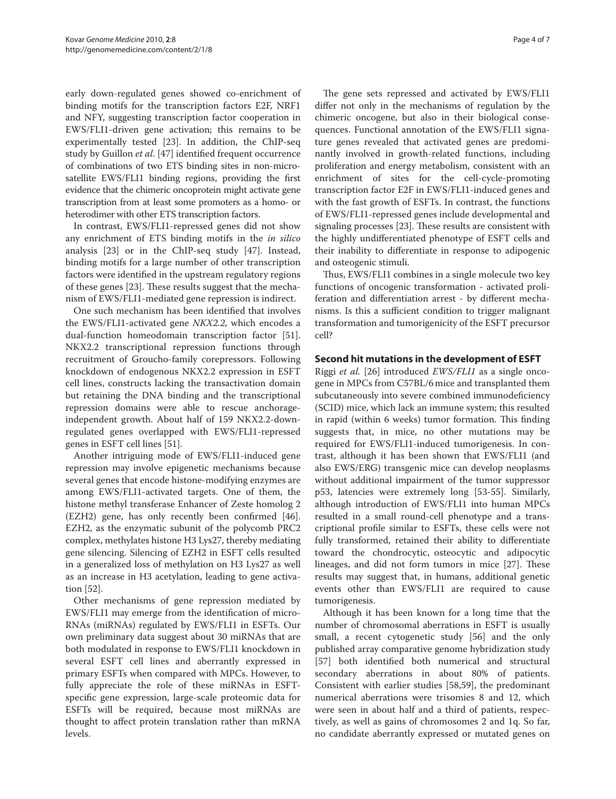early down-regulated genes showed co-enrichment of binding motifs for the transcription factors E2F, NRF1 and NFY, suggesting transcription factor cooperation in EWS/FLI1-driven gene activation; this remains to be experimentally tested [23]. In addition, the ChIP-seq study by Guillon *et al*. [47] identified frequent occurrence of combinations of two ETS binding sites in non-microsatellite EWS/FLI1 binding regions, providing the first evidence that the chimeric oncoprotein might activate gene transcription from at least some promoters as a homo- or heterodimer with other ETS transcription factors.

In contrast, EWS/FLI1-repressed genes did not show any enrichment of ETS binding motifs in the *in silico* analysis [23] or in the ChIP-seq study [47]. Instead, binding motifs for a large number of other transcription factors were identified in the upstream regulatory regions of these genes [23]. These results suggest that the mechanism of EWS/FLI1-mediated gene repression is indirect.

One such mechanism has been identified that involves the EWS/FLI1-activated gene *NKX2.2*, which encodes a dual-function homeodomain transcription factor [51]. NKX2.2 transcriptional repression functions through recruitment of Groucho-family corepressors. Following knockdown of endogenous NKX2.2 expression in ESFT cell lines, constructs lacking the transactivation domain but retaining the DNA binding and the transcriptional repression domains were able to rescue anchorageindependent growth. About half of 159 NKX2.2-downregulated genes overlapped with EWS/FLI1-repressed genes in ESFT cell lines [51].

Another intriguing mode of EWS/FLI1-induced gene repression may involve epigenetic mechanisms because several genes that encode histone-modifying enzymes are among EWS/FLI1-activated targets. One of them, the histone methyl transferase Enhancer of Zeste homolog 2 (EZH2) gene, has only recently been confirmed [46]. EZH2, as the enzymatic subunit of the polycomb PRC2 complex, methylates histone H3 Lys27, thereby mediating gene silencing. Silencing of EZH2 in ESFT cells resulted in a generalized loss of methylation on H3 Lys27 as well as an increase in H3 acetylation, leading to gene activation [52].

Other mechanisms of gene repression mediated by EWS/FLI1 may emerge from the identification of micro-RNAs (miRNAs) regulated by EWS/FLI1 in ESFTs. Our own preliminary data suggest about 30 miRNAs that are both modulated in response to EWS/FLI1 knockdown in several ESFT cell lines and aberrantly expressed in primary ESFTs when compared with MPCs. However, to fully appreciate the role of these miRNAs in ESFTspecific gene expression, large-scale proteomic data for ESFTs will be required, because most miRNAs are thought to affect protein translation rather than mRNA levels.

The gene sets repressed and activated by EWS/FLI1 differ not only in the mechanisms of regulation by the chimeric oncogene, but also in their biological consequences. Functional annotation of the EWS/FLI1 signature genes revealed that activated genes are predominantly involved in growth-related functions, including proliferation and energy metabolism, consistent with an enrichment of sites for the cell-cycle-promoting transcription factor E2F in EWS/FLI1-induced genes and with the fast growth of ESFTs. In contrast, the functions of EWS/FLI1-repressed genes include developmental and signaling processes [23]. These results are consistent with the highly undifferentiated phenotype of ESFT cells and their inability to differentiate in response to adipogenic and osteogenic stimuli.

Thus, EWS/FLI1 combines in a single molecule two key functions of oncogenic transformation - activated proliferation and differentiation arrest - by different mechanisms. Is this a sufficient condition to trigger malignant transformation and tumorigenicity of the ESFT precursor cell?

#### **Second hit mutations in the development of ESFT**

Riggi *et al.* [26] introduced *EWS/FLI1* as a single oncogene in MPCs from C57BL/6mice and transplanted them subcutaneously into severe combined immunodeficiency (SCID) mice, which lack an immune system; this resulted in rapid (within 6 weeks) tumor formation. This finding suggests that, in mice, no other mutations may be required for EWS/FLI1-induced tumorigenesis. In contrast, although it has been shown that EWS/FLI1 (and also EWS/ERG) transgenic mice can develop neoplasms without additional impairment of the tumor suppressor p53, latencies were extremely long [53-55]. Similarly, although introduction of EWS/FLI1 into human MPCs resulted in a small round-cell phenotype and a transcriptional profile similar to ESFTs, these cells were not fully transformed, retained their ability to differentiate toward the chondrocytic, osteocytic and adipocytic lineages, and did not form tumors in mice [27]. These results may suggest that, in humans, additional genetic events other than EWS/FLI1 are required to cause tumorigenesis.

Although it has been known for a long time that the number of chromosomal aberrations in ESFT is usually small, a recent cytogenetic study [56] and the only published array comparative genome hybridization study [57] both identified both numerical and structural secondary aberrations in about 80% of patients. Consistent with earlier studies [58,59], the predominant numerical aberrations were trisomies 8 and 12, which were seen in about half and a third of patients, respectively, as well as gains of chromosomes 2 and 1q. So far, no candidate aberrantly expressed or mutated genes on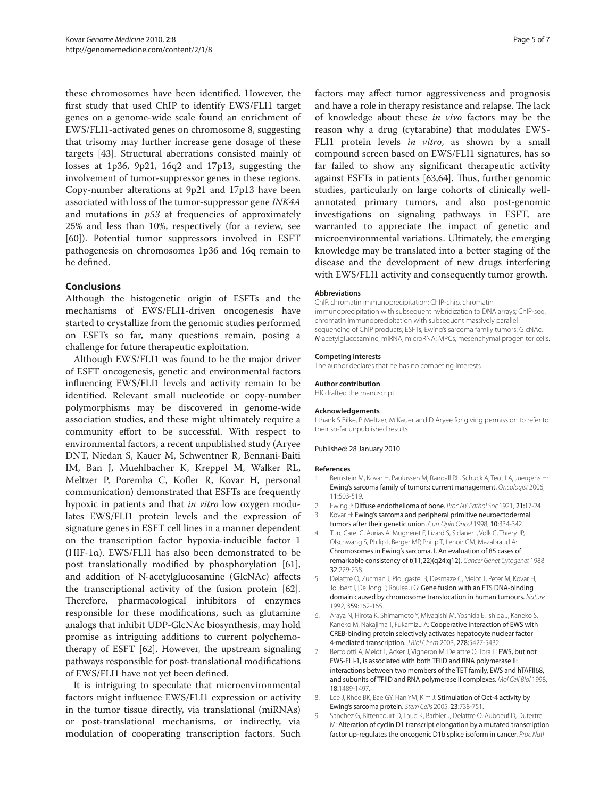these chromosomes have been identified. However, the first study that used ChIP to identify EWS/FLI1 target genes on a genome-wide scale found an enrichment of EWS/FLI1-activated genes on chromosome 8, suggesting that trisomy may further increase gene dosage of these targets [43]. Structural aberrations consisted mainly of losses at 1p36, 9p21, 16q2 and 17p13, suggesting the involvement of tumor-suppressor genes in these regions. Copy-number alterations at 9p21 and 17p13 have been associated with loss of the tumor-suppressor gene *INK4A* and mutations in *p53* at frequencies of approximately 25% and less than 10%, respectively (for a review, see [60]). Potential tumor suppressors involved in ESFT pathogenesis on chromosomes 1p36 and 16q remain to be defined.

#### **Conclusions**

Although the histogenetic origin of ESFTs and the mechanisms of EWS/FLI1-driven oncogenesis have started to crystallize from the genomic studies performed on ESFTs so far, many questions remain, posing a challenge for future therapeutic exploitation.

Although EWS/FLI1 was found to be the major driver of ESFT oncogenesis, genetic and environmental factors influencing EWS/FLI1 levels and activity remain to be identified. Relevant small nucleotide or copy-number polymorphisms may be discovered in genome-wide association studies, and these might ultimately require a community effort to be successful. With respect to environmental factors, a recent unpublished study (Aryee DNT, Niedan S, Kauer M, Schwentner R, Bennani-Baiti IM, Ban J, Muehlbacher K, Kreppel M, Walker RL, Meltzer P, Poremba C, Kofler R, Kovar H, personal communication) demonstrated that ESFTs are frequently hypoxic in patients and that *in vitro* low oxygen modulates EWS/FLI1 protein levels and the expression of signature genes in ESFT cell lines in a manner dependent on the transcription factor hypoxia-inducible factor 1 (HIF-1 $\alpha$ ). EWS/FLI1 has also been demonstrated to be post translationally modified by phosphorylation [61], and addition of N-acetylglucosamine (GlcNAc) affects the transcriptional activity of the fusion protein [62]. Therefore, pharmacological inhibitors of enzymes responsible for these modifications, such as glutamine analogs that inhibit UDP-GlcNAc biosynthesis, may hold promise as intriguing additions to current polychemotherapy of ESFT [62]. However, the upstream signaling pathways responsible for post-translational modifications of EWS/FLI1 have not yet been defined.

It is intriguing to speculate that microenvironmental factors might influence EWS/FLI1 expression or activity in the tumor tissue directly, via translational (miRNAs) or post-translational mechanisms, or indirectly, via modulation of cooperating transcription factors. Such

factors may affect tumor aggressiveness and prognosis and have a role in therapy resistance and relapse. The lack of knowledge about these *in vivo* factors may be the reason why a drug (cytarabine) that modulates EWS-FLI1 protein levels *in vitro*, as shown by a small compound screen based on EWS/FLI1 signatures, has so far failed to show any significant therapeutic activity against ESFTs in patients [63,64]. Thus, further genomic studies, particularly on large cohorts of clinically wellannotated primary tumors, and also post-genomic investigations on signaling pathways in ESFT, are warranted to appreciate the impact of genetic and microenvironmental variations. Ultimately, the emerging knowledge may be translated into a better staging of the disease and the development of new drugs interfering with EWS/FLI1 activity and consequently tumor growth.

#### **Abbreviations**

ChIP, chromatin immunoprecipitation; ChIP-chip, chromatin immunoprecipitation with subsequent hybridization to DNA arrays; ChIP-seq, chromatin immunoprecipitation with subsequent massively parallel sequencing of ChIP products; ESFTs, Ewing's sarcoma family tumors; GlcNAc, *N*-acetylglucosamine; miRNA, microRNA; MPCs, mesenchymal progenitor cells.

#### **Competing interests**

The author declares that he has no competing interests.

#### **Author contribution**

HK drafted the manuscript.

#### **Acknowledgements**

I thank S Bilke, P Meltzer, M Kauer and D Aryee for giving permission to refer to their so-far unpublished results.

#### Published: 28 January 2010

#### **References**

- Bernstein M, Kovar H, Paulussen M, Randall RL, Schuck A, Teot LA, Juergens H: Ewing's sarcoma family of tumors: current management. *Oncologist* 2006, 11:503-519.
- 2. Ewing J: Diffuse endothelioma of bone. *Proc NY Pathol Soc* 1921, 21:17-24.
- 3. Kovar H: Ewing's sarcoma and peripheral primitive neuroectodermal tumors after their genetic union. *Curr Opin Oncol* 1998, 10:334-342.
- 4. Turc Carel C, Aurias A, Mugneret F, Lizard S, Sidaner I, Volk C, Thiery JP, Olschwang S, Philip I, Berger MP, Philip T, Lenoir GM, Mazabraud A: Chromosomes in Ewing's sarcoma. I. An evaluation of 85 cases of remarkable consistency of t(11;22)(q24;q12). *Cancer Genet Cytogenet* 1988, 32:229-238.
- 5. Delattre O, Zucman J, Plougastel B, Desmaze C, Melot T, Peter M, Kovar H, Joubert I, De Jong P, Rouleau G: Gene fusion with an ETS DNA-binding domain caused by chromosome translocation in human tumours. *Nature*  1992, 359:162-165.
- 6. Araya N, Hirota K, Shimamoto Y, Miyagishi M, Yoshida E, Ishida J, Kaneko S, Kaneko M, Nakajima T, Fukamizu A: Cooperative interaction of EWS with CREB-binding protein selectively activates hepatocyte nuclear factor 4-mediated transcription. *J Biol Chem* 2003, 278:5427-5432.
- 7. Bertolotti A, Melot T, Acker J, Vigneron M, Delattre O, Tora L: EWS, but not EWS-FLI-1, is associated with both TFIID and RNA polymerase II: interactions between two members of the TET family, EWS and hTAFII68, and subunits of TFIID and RNA polymerase II complexes. *Mol Cell Biol* 1998, 18:1489-1497.
- 8. Lee J, Rhee BK, Bae GY, Han YM, Kim J: Stimulation of Oct-4 activity by Ewing's sarcoma protein. *Stem Cells* 2005, 23:738-751.
- 9. Sanchez G, Bittencourt D, Laud K, Barbier J, Delattre O, Auboeuf D, Dutertre M: Alteration of cyclin D1 transcript elongation by a mutated transcription factor up-regulates the oncogenic D1b splice isoform in cancer. *Proc Natl*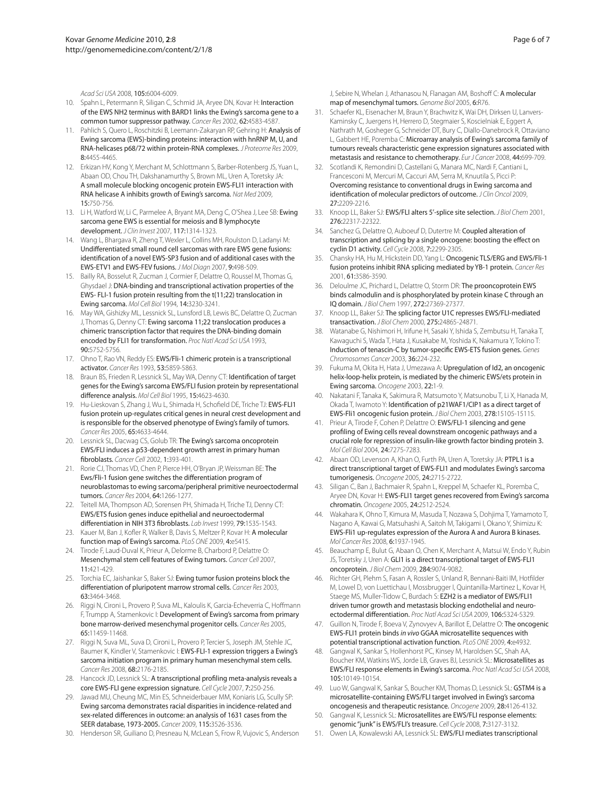*Acad Sci USA* 2008, 105:6004-6009.

- 10. Spahn L, Petermann R, Siligan C, Schmid JA, Aryee DN, Kovar H: Interaction of the EWS NH2 terminus with BARD1 links the Ewing's sarcoma gene to a common tumor suppressor pathway. *Cancer Res* 2002, 62:4583-4587.
- 11. Pahlich S, Quero L, Roschitzki B, Leemann-Zakaryan RP, Gehring H: Analysis of Ewing sarcoma (EWS)-binding proteins: interaction with hnRNP M, U, and RNA-helicases p68/72 within protein-RNA complexes. *J Proteome Res* 2009, 8:4455-4465.
- 12. Erkizan HV, Kong Y, Merchant M, Schlottmann S, Barber-Rotenberg JS, Yuan L, Abaan OD, Chou TH, Dakshanamurthy S, Brown ML, Uren A, Toretsky JA: A small molecule blocking oncogenic protein EWS-FLI1 interaction with RNA helicase A inhibits growth of Ewing's sarcoma. *Nat Med* 2009, 15:750-756.
- 13. Li H, Watford W, Li C, Parmelee A, Bryant MA, Deng C, O'Shea J, Lee SB: Ewing sarcoma gene EWS is essential for meiosis and B lymphocyte development. *J Clin Invest* 2007, 117:1314-1323.
- 14. Wang L, Bhargava R, Zheng T, Wexler L, Collins MH, Roulston D, Ladanyi M: Undifferentiated small round cell sarcomas with rare EWS gene fusions: identification of a novel EWS-SP3 fusion and of additional cases with the EWS-ETV1 and EWS-FEV fusions. *J Mol Diagn* 2007, 9:498-509.
- Bailly RA, Bosselut R, Zucman J, Cormier F, Delattre O, Roussel M, Thomas G, Ghysdael J: DNA-binding and transcriptional activation properties of the EWS- FLI-1 fusion protein resulting from the t(11;22) translocation in Ewing sarcoma. *Mol Cell Biol* 1994, 14:3230-3241.
- 16. May WA, Gishizky ML, Lessnick SL, Lunsford LB, Lewis BC, Delattre O, Zucman J, Thomas G, Denny CT: Ewing sarcoma 11;22 translocation produces a chimeric transcription factor that requires the DNA-binding domain encoded by FLI1 for transformation. *Proc Natl Acad Sci USA* 1993, 90:5752-5756.
- 17. Ohno T, Rao VN, Reddy ES: EWS/Fli-1 chimeric protein is a transcriptional activator. *Cancer Res* 1993, 53:5859-5863.
- 18. Braun BS, Frieden R, Lessnick SL, May WA, Denny CT: Identification of target genes for the Ewing's sarcoma EWS/FLI fusion protein by representational difference analysis. *Mol Cell Biol* 1995, 15:4623-4630.
- 19. Hu-Lieskovan S, Zhang J, Wu L, Shimada H, Schofield DE, Triche TJ: EWS-FLI1 fusion protein up-regulates critical genes in neural crest development and is responsible for the observed phenotype of Ewing's family of tumors. *Cancer Res* 2005, 65:4633-4644.
- 20. Lessnick SL, Dacwag CS, Golub TR: The Ewing's sarcoma oncoprotein EWS/FLI induces a p53-dependent growth arrest in primary human fibroblasts. *Cancer Cell* 2002, 1:393-401.
- 21. Rorie CJ, Thomas VD, Chen P, Pierce HH, O'Bryan JP, Weissman BE: The Ews/Fli-1 fusion gene switches the differentiation program of neuroblastomas to ewing sarcoma/peripheral primitive neuroectodermal tumors. *Cancer Res* 2004, 64:1266-1277.
- 22. Teitell MA, Thompson AD, Sorensen PH, Shimada H, Triche TJ, Denny CT: EWS/ETS fusion genes induce epithelial and neuroectodermal differentiation in NIH 3T3 fibroblasts. *Lab Invest* 1999, 79:1535-1543.
- 23. Kauer M, Ban J, Kofler R, Walker B, Davis S, Meltzer P, Kovar H: A molecular function map of Ewing's sarcoma. *PLoS ONE* 2009, 4:e5415.
- 24. Tirode F, Laud-Duval K, Prieur A, Delorme B, Charbord P, Delattre O: Mesenchymal stem cell features of Ewing tumors. *Cancer Cell* 2007, 11:421-429.
- 25. Torchia EC, Jaishankar S, Baker SJ: Ewing tumor fusion proteins block the differentiation of pluripotent marrow stromal cells. *Cancer Res* 2003, 63:3464-3468.
- 26. Riggi N, Cironi L, Provero P, Suva ML, Kaloulis K, Garcia-Echeverria C, Hoffmann F, Trumpp A, Stamenkovic I: Development of Ewing's sarcoma from primary bone marrow-derived mesenchymal progenitor cells. *Cancer Res* 2005, 65:11459-11468.
- 27. Riggi N, Suva ML, Suva D, Cironi L, Provero P, Tercier S, Joseph JM, Stehle JC, Baumer K, Kindler V, Stamenkovic I: EWS-FLI-1 expression triggers a Ewing's sarcoma initiation program in primary human mesenchymal stem cells. *Cancer Res* 2008, 68:2176-2185.
- 28. Hancock JD, Lessnick SL: A transcriptional profiling meta-analysis reveals a core EWS-FLI gene expression signature. *Cell Cycle* 2007, 7:250-256.
- 29. Jawad MU, Cheung MC, Min ES, Schneiderbauer MM, Koniaris LG, Scully SP: Ewing sarcoma demonstrates racial disparities in incidence-related and sex-related differences in outcome: an analysis of 1631 cases from the SEER database, 1973-2005. *Cancer* 2009, 115:3526-3536.
- 30. Henderson SR, Guiliano D, Presneau N, McLean S, Frow R, Vujovic S, Anderson

J, Sebire N, Whelan J, Athanasou N, Flanagan AM, Boshoff C: A molecular map of mesenchymal tumors. *Genome Biol* 2005, 6:R76.

- 31. Schaefer KL, Eisenacher M, Braun Y, Brachwitz K, Wai DH, Dirksen U, Lanvers-Kaminsky C, Juergens H, Herrero D, Stegmaier S, Koscielniak E, Eggert A, Nathrath M, Gosheger G, Schneider DT, Bury C, Diallo-Danebrock R, Ottaviano L, Gabbert HE, Poremba C: Microarray analysis of Ewing's sarcoma family of tumours reveals characteristic gene expression signatures associated with metastasis and resistance to chemotherapy. *Eur J Cancer* 2008, 44:699-709.
- 32. Scotlandi K, Remondini D, Castellani G, Manara MC, Nardi F, Cantiani L, Francesconi M, Mercuri M, Caccuri AM, Serra M, Knuutila S, Picci P: Overcoming resistance to conventional drugs in Ewing sarcoma and identification of molecular predictors of outcome. *J Clin Oncol* 2009, 27:2209-2216.
- 33. Knoop LL, Baker SJ: EWS/FLI alters 5'-splice site selection. *J Biol Chem* 2001, 276:22317-22322.
- 34. Sanchez G, Delattre O, Auboeuf D, Dutertre M: Coupled alteration of transcription and splicing by a single oncogene: boosting the effect on cyclin D1 activity. *Cell Cycle* 2008, 7:2299-2305.
- 35. Chansky HA, Hu M, Hickstein DD, Yang L: Oncogenic TLS/ERG and EWS/Fli-1 fusion proteins inhibit RNA splicing mediated by YB-1 protein. *Cancer Res*  2001, 61:3586-3590.
- 36. Deloulme JC, Prichard L, Delattre O, Storm DR: The prooncoprotein EWS binds calmodulin and is phosphorylated by protein kinase C through an IQ domain. *J Biol Chem* 1997, 272:27369-27377.
- 37. Knoop LL, Baker SJ: The splicing factor U1C represses EWS/FLI-mediated transactivation. *J Biol Chem* 2000, 275:24865-24871.
- 38. Watanabe G, Nishimori H, Irifune H, Sasaki Y, Ishida S, Zembutsu H, Tanaka T, Kawaguchi S, Wada T, Hata J, Kusakabe M, Yoshida K, Nakamura Y, Tokino T: Induction of tenascin-C by tumor-specific EWS-ETS fusion genes. *Genes Chromosomes Cancer* 2003, 36:224-232.
- 39. Fukuma M, Okita H, Hata J, Umezawa A: Upregulation of Id2, an oncogenic helix-loop-helix protein, is mediated by the chimeric EWS/ets protein in Ewing sarcoma. *Oncogene* 2003, 22:1-9.
- 40. Nakatani F, Tanaka K, Sakimura R, Matsumoto Y, Matsunobu T, Li X, Hanada M, Okada T, Iwamoto Y: Identification of p21WAF1/CIP1 as a direct target of EWS-Fli1 oncogenic fusion protein. *J Biol Chem* 2003, 278:15105-15115.
- 41. Prieur A, Tirode F, Cohen P, Delattre O: EWS/FLI-1 silencing and gene profiling of Ewing cells reveal downstream oncogenic pathways and a crucial role for repression of insulin-like growth factor binding protein 3. *Mol Cell Biol* 2004, 24:7275-7283.
- 42. Abaan OD, Levenson A, Khan O, Furth PA, Uren A, Toretsky JA: PTPL1 is a direct transcriptional target of EWS-FLI1 and modulates Ewing's sarcoma tumorigenesis. *Oncogene* 2005, 24:2715-2722.
- 43. Siligan C, Ban J, Bachmaier R, Spahn L, Kreppel M, Schaefer KL, Poremba C, Aryee DN, Kovar H: EWS-FLI1 target genes recovered from Ewing's sarcoma chromatin. *Oncogene* 2005, 24:2512-2524.
- 44. Wakahara K, Ohno T, Kimura M, Masuda T, Nozawa S, Dohjima T, Yamamoto T, Nagano A, Kawai G, Matsuhashi A, Saitoh M, Takigami I, Okano Y, Shimizu K: EWS-Fli1 up-regulates expression of the Aurora A and Aurora B kinases. *Mol Cancer Res* 2008, 6:1937-1945.
- 45. Beauchamp E, Bulut G, Abaan O, Chen K, Merchant A, Matsui W, Endo Y, Rubin JS, Toretsky J, Uren A: GLI1 is a direct transcriptional target of EWS-FLI1 oncoprotein. *J Biol Chem* 2009, 284:9074-9082.
- 46. Richter GH, Plehm S, Fasan A, Rossler S, Unland R, Bennani-Baiti IM, Hotfilder M, Lowel D, von Luettichau I, Mossbrugger I, Quintanilla-Martinez L, Kovar H, Staege MS, Muller-Tidow C, Burdach S: EZH2 is a mediator of EWS/FLI1 driven tumor growth and metastasis blocking endothelial and neuroectodermal differentiation. *Proc Natl Acad Sci USA* 2009, 106:5324-5329.
- 47. Guillon N, Tirode F, Boeva V, Zynovyev A, Barillot E, Delattre O: The oncogenic EWS-FLI1 protein binds *in vivo* GGAA microsatellite sequences with potential transcriptional activation function. *PLoS ONE* 2009, 4:e4932.
- 48. Gangwal K, Sankar S, Hollenhorst PC, Kinsey M, Haroldsen SC, Shah AA, Boucher KM, Watkins WS, Jorde LB, Graves BJ, Lessnick SL: Microsatellites as EWS/FLI response elements in Ewing's sarcoma. *Proc Natl Acad Sci USA* 2008, 105:10149-10154.
- 49. Luo W, Gangwal K, Sankar S, Boucher KM, Thomas D, Lessnick SL: GSTM4 is a microsatellite-containing EWS/FLI target involved in Ewing's sarcoma oncogenesis and therapeutic resistance. *Oncogene* 2009, 28:4126-4132.
- 50. Gangwal K, Lessnick SL: Microsatellites are EWS/FLI response elements: genomic "junk" is EWS/FLI's treasure. *Cell Cycle* 2008, 7:3127-3132.
- 51. Owen LA, Kowalewski AA, Lessnick SL: EWS/FLI mediates transcriptional